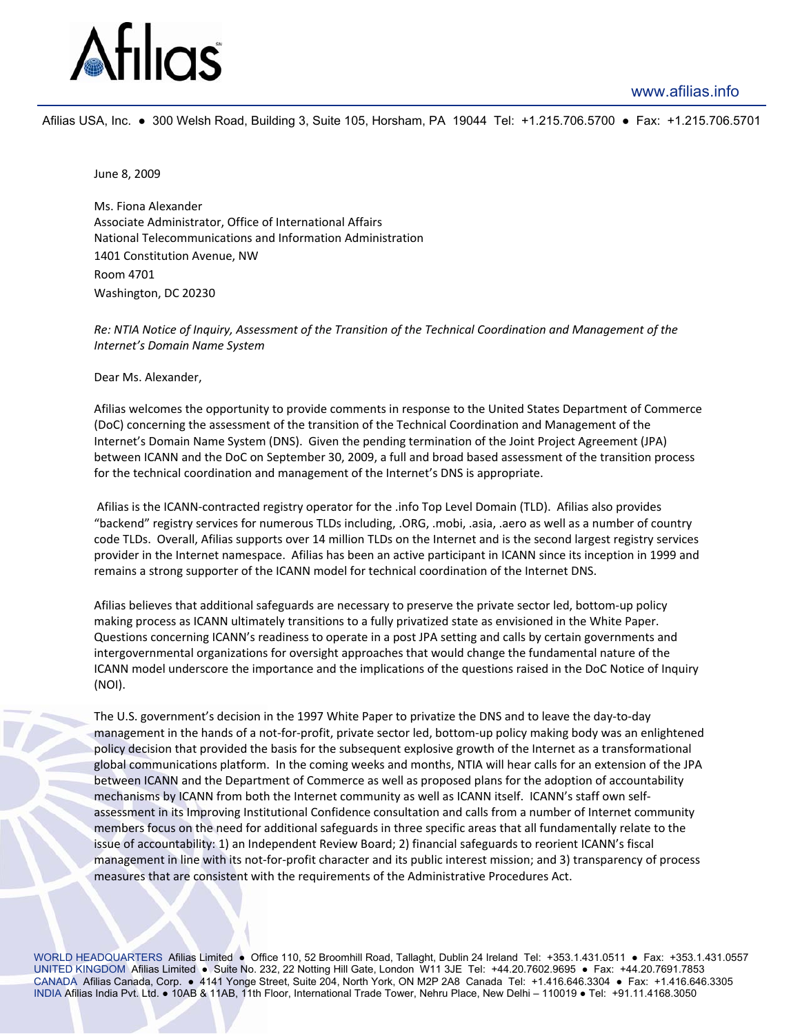## www.afilias.info



Afilias USA, Inc. ● 300 Welsh Road, Building 3, Suite 105, Horsham, PA 19044 Tel: +1.215.706.5700 ● Fax: +1.215.706.5701

June 8, 2009

Ms. Fiona Alexander Associate Administrator, Office of International Affairs National Telecommunications and Information Administration 1401 Constitution Avenue, NW Room 4701 Washington, DC 20230

## Re: NTIA Notice of Inquiry, Assessment of the Transition of the Technical Coordination and Management of the *Internet's Domain Name System*

Dear Ms. Alexander,

Afilias welcomes the opportunity to provide comments in response to the United States Department of Commerce (DoC) concerning the assessment of the transition of the Technical Coordination and Management of the Internet's Domain Name System (DNS). Given the pending termination of the Joint Project Agreement (JPA) between ICANN and the DoC on September 30, 2009, a full and broad based assessment of the transition process for the technical coordination and management of the Internet's DNS is appropriate.

Afilias is the ICANN‐contracted registry operator for the .info Top Level Domain (TLD). Afilias also provides "backend" registry services for numerous TLDs including, .ORG, .mobi, .asia, .aero as well as a number of country code TLDs. Overall, Afilias supports over 14 million TLDs on the Internet and is the second largest registry services provider in the Internet namespace. Afilias has been an active participant in ICANN since its inception in 1999 and remains a strong supporter of the ICANN model for technical coordination of the Internet DNS.

Afilias believes that additional safeguards are necessary to preserve the private sector led, bottom‐up policy making process as ICANN ultimately transitions to a fully privatized state as envisioned in the White Paper. Questions concerning ICANN's readiness to operate in a post JPA setting and calls by certain governments and intergovernmental organizations for oversight approaches that would change the fundamental nature of the ICANN model underscore the importance and the implications of the questions raised in the DoC Notice of Inquiry (NOI).

The U.S. government's decision in the 1997 White Paper to privatize the DNS and to leave the day‐to‐day management in the hands of a not-for-profit, private sector led, bottom-up policy making body was an enlightened policy decision that provided the basis for the subsequent explosive growth of the Internet as a transformational global communications platform. In the coming weeks and months, NTIA will hear calls for an extension of the JPA between ICANN and the Department of Commerce as well as proposed plans for the adoption of accountability mechanisms by ICANN from both the Internet community as well as ICANN itself. ICANN's staff own self‐ assessment in its Improving Institutional Confidence consultation and calls from a number of Internet community members focus on the need for additional safeguards in three specific areas that all fundamentally relate to the issue of accountability: 1) an Independent Review Board; 2) financial safeguards to reorient ICANN's fiscal management in line with its not-for-profit character and its public interest mission; and 3) transparency of process measures that are consistent with the requirements of the Administrative Procedures Act.

WORLD HEADQUARTERS Afilias Limited • Office 110, 52 Broomhill Road, Tallaght, Dublin 24 Ireland Tel: +353.1.431.0511 • Fax: +353.1.431.0557 UNITED KINGDOM Afilias Limited ● Suite No. 232, 22 Notting Hill Gate, London W11 3JE Tel: +44.20.7602.9695 ● Fax: +44.20.7691.7853 CANADA Afilias Canada, Corp. ● 4141 Yonge Street, Suite 204, North York, ON M2P 2A8 Canada Tel: +1.416.646.3304 ● Fax: +1.416.646.3305 INDIA Afilias India Pvt. Ltd. ● 10AB & 11AB, 11th Floor, International Trade Tower, Nehru Place, New Delhi – 110019 ● Tel: +91.11.4168.3050